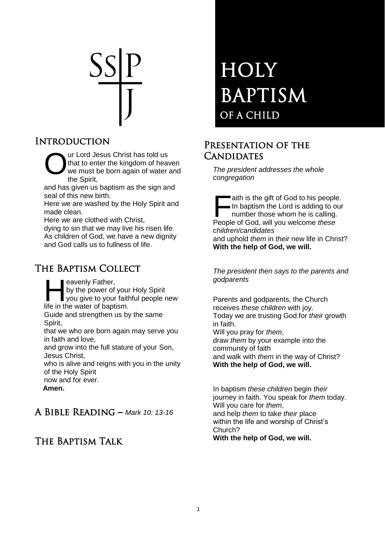#### **INTRODUCTION**

ur Lord Jesus Christ has told us that to enter the kingdom of heaven we must be born again of water and the Spirit, O

and has given us baptism as the sign and seal of this new birth.

Here we are washed by the Holy Spirit and made clean.

Here we are clothed with Christ,

dying to sin that we may live his risen life. As children of God, we have a new dignity and God calls us to fullness of life.

# The Baptism Collect

eavenly Father,

by the power of your Holy Spirit

eavenly Father,<br>by the power of your Holy Spirit<br>you give to your faithful people new<br>life in the water of bantism life in the water of baptism.

Guide and strengthen us by the same Spirit,

that we who are born again may serve you in faith and love,

and grow into the full stature of your Son, Jesus Christ,

who is alive and reigns with you in the unity of the Holy Spirit

now and for ever.

**Amen.**

A Bible Reading **–** *Mark 10: 13-16*

# The Baptism Talk

# **HOLY** BAPTISM OF A CHILD

#### Presentation of the **CANDIDATES**

*The president addresses the whole congregation*

aith is the gift of God to his people. In baptism the Lord is adding to our number those whom he is calling. aith is the gift of God to his people<br>In baptism the Lord is adding to o<br>number those whom he is calling.<br>People of God, will you welcome these *children/candidates* and uphold *them* in *their* new life in Christ? **With the help of God, we will.**

*The president then says to the parents and godparents*

Parents and godparents, the Church receives *these children* with joy. Today we are trusting God for *their* growth in faith.

Will you pray for *them*,

draw *them* by your example into the community of faith and walk with *them* in the way of Christ? **With the help of God, we will.**

In baptism *these children* begin *their* journey in faith. You speak for *them* today. Will you care for *them*, and help *them* to take *their* place within the life and worship of Christ's Church? **With the help of God, we will.**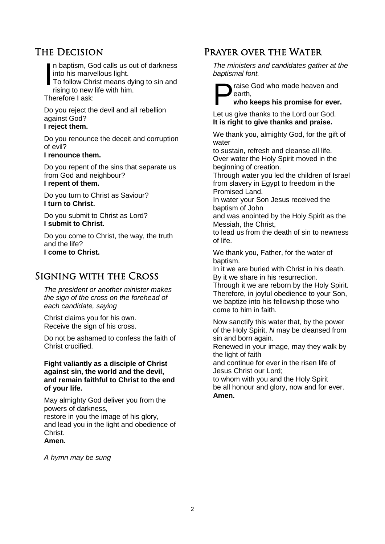#### The Decision

n baptism, God calls us out of darkness into his marvellous light.

To follow Christ means dying to sin and rising to new life with him. I

Therefore I ask:

Do you reject the devil and all rebellion against God? **I reject them.**

Do you renounce the deceit and corruption of evil?

**I renounce them.**

Do you repent of the sins that separate us from God and neighbour? **I repent of them.**

Do you turn to Christ as Saviour? **I turn to Christ.**

Do you submit to Christ as Lord? **I submit to Christ.**

Do you come to Christ, the way, the truth and the life? **I come to Christ.**

#### Signing with the Cross

*The president or another minister makes the sign of the cross on the forehead of each candidate, saying* 

Christ claims you for his own. Receive the sign of his cross.

Do not be ashamed to confess the faith of Christ crucified.

#### **Fight valiantly as a disciple of Christ against sin, the world and the devil, and remain faithful to Christ to the end of your life.**

May almighty God deliver you from the powers of darkness,

restore in you the image of his glory, and lead you in the light and obedience of Christ.

#### **Amen.**

*A hymn may be sung*

#### Prayer over the Water

*The ministers and candidates gather at the baptismal font.* 



raise God who made heaven and earth, **who keeps his promise for ever.**

Let us give thanks to the Lord our God. **It is right to give thanks and praise.**

We thank you, almighty God, for the gift of water

to sustain, refresh and cleanse all life. Over water the Holy Spirit moved in the beginning of creation.

Through water you led the children of Israel from slavery in Egypt to freedom in the Promised Land.

In water your Son Jesus received the baptism of John

and was anointed by the Holy Spirit as the Messiah, the Christ,

to lead us from the death of sin to newness of life.

We thank you, Father, for the water of baptism.

In it we are buried with Christ in his death. By it we share in his resurrection.

Through it we are reborn by the Holy Spirit. Therefore, in joyful obedience to your Son, we baptize into his fellowship those who come to him in faith.

Now sanctify this water that, by the power of the Holy Spirit, *N* may be cleansed from sin and born again.

Renewed in your image, may they walk by the light of faith

and continue for ever in the risen life of Jesus Christ our Lord;

to whom with you and the Holy Spirit be all honour and glory, now and for ever. **Amen.**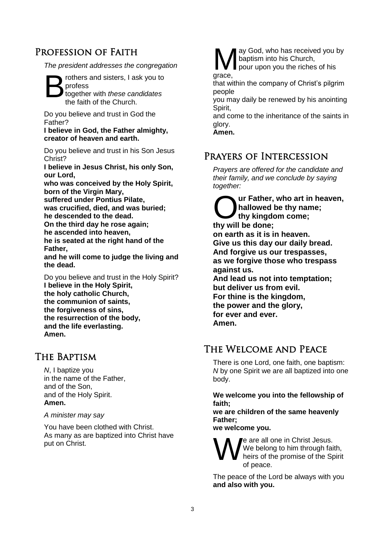#### PROFESSION OF FAITH

*The president addresses the congregation* 

rothers and sisters, I ask you to profess together with *these candidates* the faith of the Church. B

Do you believe and trust in God the Father?

**I believe in God, the Father almighty, creator of heaven and earth.**

Do you believe and trust in his Son Jesus Christ?

**I believe in Jesus Christ, his only Son, our Lord,**

**who was conceived by the Holy Spirit, born of the Virgin Mary,**

**suffered under Pontius Pilate,**

**was crucified, died, and was buried; he descended to the dead.**

**On the third day he rose again;**

**he ascended into heaven,**

**he is seated at the right hand of the Father,**

**and he will come to judge the living and the dead.**

Do you believe and trust in the Holy Spirit? **I believe in the Holy Spirit, the holy catholic Church, the communion of saints, the forgiveness of sins, the resurrection of the body, and the life everlasting. Amen.**

#### The Baptism

*N*, I baptize you in the name of the Father, and of the Son, and of the Holy Spirit. **Amen.**

*A minister may say* 

You have been clothed with Christ. As many as are baptized into Christ have put on Christ.

ay God, who has received you by baptism into his Church,

pour upon you the riches of his grace, M

that within the company of Christ's pilgrim people

you may daily be renewed by his anointing Spirit,

and come to the inheritance of the saints in glory.

**Amen.**

## Prayers of Intercession

*Prayers are offered for the candidate and their family, and we conclude by saying together:*

**ur Father, who art in heaven, hallowed be thy name; thy kingdom come; O**ur Father,<br>thy kingder<br>thy will be done; **on earth as it is in heaven. Give us this day our daily bread. And forgive us our trespasses, as we forgive those who trespass against us. And lead us not into temptation; but deliver us from evil. For thine is the kingdom, the power and the glory, for ever and ever. Amen.**

#### The Welcome and Peace

There is one Lord, one faith, one baptism: *N* by one Spirit we are all baptized into one body.

**We welcome you into the fellowship of faith;**

**we are children of the same heavenly Father;**

**we welcome you.**



e are all one in Christ Jesus. We belong to him through faith, heirs of the promise of the Spirit of peace.

The peace of the Lord be always with you **and also with you.**